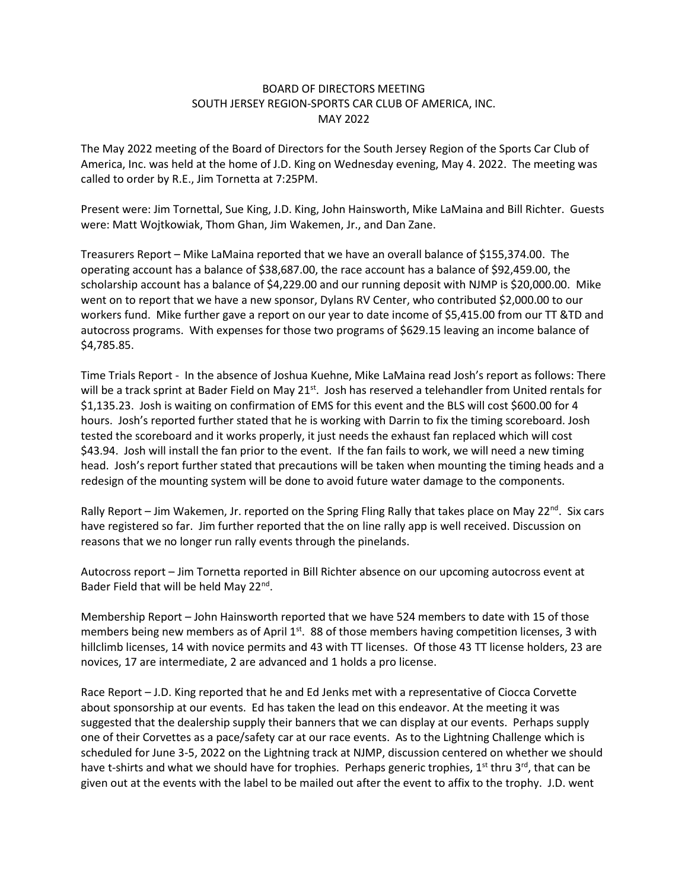## BOARD OF DIRECTORS MEETING SOUTH JERSEY REGION-SPORTS CAR CLUB OF AMERICA, INC. MAY 2022

The May 2022 meeting of the Board of Directors for the South Jersey Region of the Sports Car Club of America, Inc. was held at the home of J.D. King on Wednesday evening, May 4. 2022. The meeting was called to order by R.E., Jim Tornetta at 7:25PM.

Present were: Jim Tornettal, Sue King, J.D. King, John Hainsworth, Mike LaMaina and Bill Richter. Guests were: Matt Wojtkowiak, Thom Ghan, Jim Wakemen, Jr., and Dan Zane.

Treasurers Report – Mike LaMaina reported that we have an overall balance of \$155,374.00. The operating account has a balance of \$38,687.00, the race account has a balance of \$92,459.00, the scholarship account has a balance of \$4,229.00 and our running deposit with NJMP is \$20,000.00. Mike went on to report that we have a new sponsor, Dylans RV Center, who contributed \$2,000.00 to our workers fund. Mike further gave a report on our year to date income of \$5,415.00 from our TT &TD and autocross programs. With expenses for those two programs of \$629.15 leaving an income balance of \$4,785.85.

Time Trials Report - In the absence of Joshua Kuehne, Mike LaMaina read Josh's report as follows: There will be a track sprint at Bader Field on May  $21^{st}$ . Josh has reserved a telehandler from United rentals for \$1,135.23. Josh is waiting on confirmation of EMS for this event and the BLS will cost \$600.00 for 4 hours. Josh's reported further stated that he is working with Darrin to fix the timing scoreboard. Josh tested the scoreboard and it works properly, it just needs the exhaust fan replaced which will cost \$43.94. Josh will install the fan prior to the event. If the fan fails to work, we will need a new timing head. Josh's report further stated that precautions will be taken when mounting the timing heads and a redesign of the mounting system will be done to avoid future water damage to the components.

Rally Report – Jim Wakemen, Jr. reported on the Spring Fling Rally that takes place on May 22<sup>nd</sup>. Six cars have registered so far. Jim further reported that the on line rally app is well received. Discussion on reasons that we no longer run rally events through the pinelands.

Autocross report – Jim Tornetta reported in Bill Richter absence on our upcoming autocross event at Bader Field that will be held May 22<sup>nd</sup>.

Membership Report – John Hainsworth reported that we have 524 members to date with 15 of those members being new members as of April  $1<sup>st</sup>$ . 88 of those members having competition licenses, 3 with hillclimb licenses, 14 with novice permits and 43 with TT licenses. Of those 43 TT license holders, 23 are novices, 17 are intermediate, 2 are advanced and 1 holds a pro license.

Race Report – J.D. King reported that he and Ed Jenks met with a representative of Ciocca Corvette about sponsorship at our events. Ed has taken the lead on this endeavor. At the meeting it was suggested that the dealership supply their banners that we can display at our events. Perhaps supply one of their Corvettes as a pace/safety car at our race events. As to the Lightning Challenge which is scheduled for June 3-5, 2022 on the Lightning track at NJMP, discussion centered on whether we should have t-shirts and what we should have for trophies. Perhaps generic trophies,  $1^{st}$  thru 3<sup>rd</sup>, that can be given out at the events with the label to be mailed out after the event to affix to the trophy. J.D. went